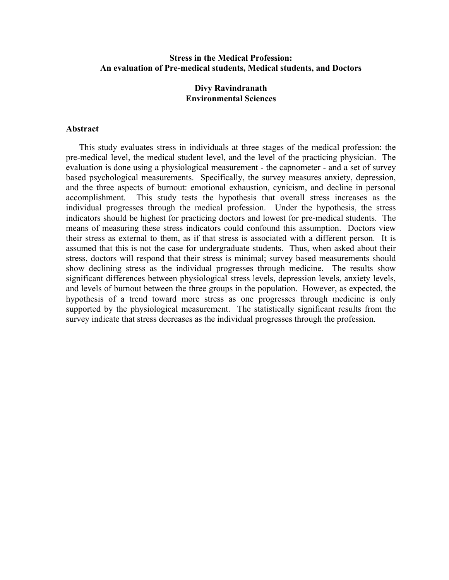# **Stress in the Medical Profession: An evaluation of Pre-medical students, Medical students, and Doctors**

# **Divy Ravindranath Environmental Sciences**

#### **Abstract**

This study evaluates stress in individuals at three stages of the medical profession: the pre-medical level, the medical student level, and the level of the practicing physician. The evaluation is done using a physiological measurement - the capnometer - and a set of survey based psychological measurements. Specifically, the survey measures anxiety, depression, and the three aspects of burnout: emotional exhaustion, cynicism, and decline in personal accomplishment. This study tests the hypothesis that overall stress increases as the individual progresses through the medical profession. Under the hypothesis, the stress indicators should be highest for practicing doctors and lowest for pre-medical students. The means of measuring these stress indicators could confound this assumption. Doctors view their stress as external to them, as if that stress is associated with a different person. It is assumed that this is not the case for undergraduate students. Thus, when asked about their stress, doctors will respond that their stress is minimal; survey based measurements should show declining stress as the individual progresses through medicine. The results show significant differences between physiological stress levels, depression levels, anxiety levels, and levels of burnout between the three groups in the population. However, as expected, the hypothesis of a trend toward more stress as one progresses through medicine is only supported by the physiological measurement. The statistically significant results from the survey indicate that stress decreases as the individual progresses through the profession.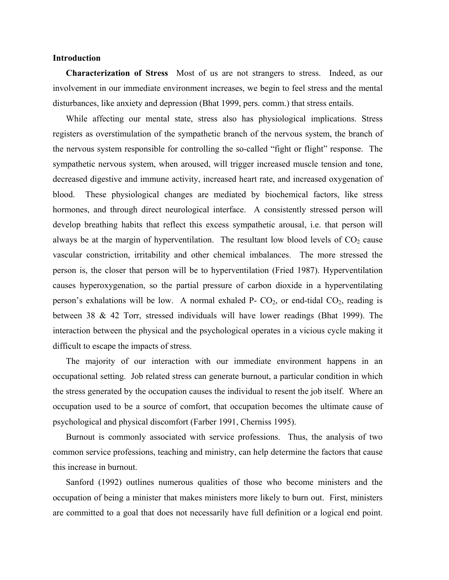#### **Introduction**

**Characterization of Stress** Most of us are not strangers to stress. Indeed, as our involvement in our immediate environment increases, we begin to feel stress and the mental disturbances, like anxiety and depression (Bhat 1999, pers. comm.) that stress entails.

While affecting our mental state, stress also has physiological implications. Stress registers as overstimulation of the sympathetic branch of the nervous system, the branch of the nervous system responsible for controlling the so-called "fight or flight" response. The sympathetic nervous system, when aroused, will trigger increased muscle tension and tone, decreased digestive and immune activity, increased heart rate, and increased oxygenation of blood. These physiological changes are mediated by biochemical factors, like stress hormones, and through direct neurological interface. A consistently stressed person will develop breathing habits that reflect this excess sympathetic arousal, i.e. that person will always be at the margin of hyperventilation. The resultant low blood levels of  $CO<sub>2</sub>$  cause vascular constriction, irritability and other chemical imbalances. The more stressed the person is, the closer that person will be to hyperventilation (Fried 1987). Hyperventilation causes hyperoxygenation, so the partial pressure of carbon dioxide in a hyperventilating person's exhalations will be low. A normal exhaled P-  $CO<sub>2</sub>$ , or end-tidal  $CO<sub>2</sub>$ , reading is between 38 & 42 Torr, stressed individuals will have lower readings (Bhat 1999). The interaction between the physical and the psychological operates in a vicious cycle making it difficult to escape the impacts of stress.

The majority of our interaction with our immediate environment happens in an occupational setting. Job related stress can generate burnout, a particular condition in which the stress generated by the occupation causes the individual to resent the job itself. Where an occupation used to be a source of comfort, that occupation becomes the ultimate cause of psychological and physical discomfort (Farber 1991, Cherniss 1995).

Burnout is commonly associated with service professions. Thus, the analysis of two common service professions, teaching and ministry, can help determine the factors that cause this increase in burnout.

Sanford (1992) outlines numerous qualities of those who become ministers and the occupation of being a minister that makes ministers more likely to burn out. First, ministers are committed to a goal that does not necessarily have full definition or a logical end point.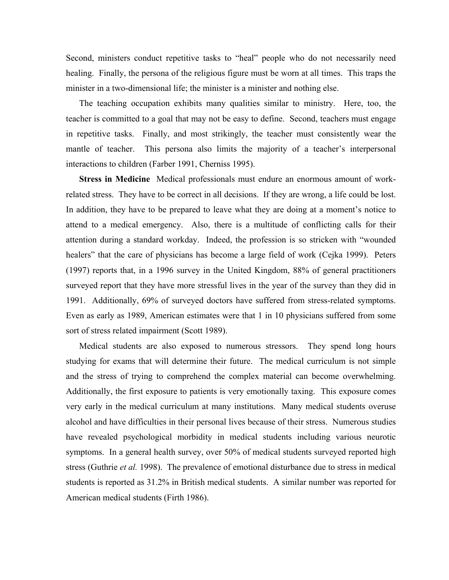Second, ministers conduct repetitive tasks to "heal" people who do not necessarily need healing. Finally, the persona of the religious figure must be worn at all times. This traps the minister in a two-dimensional life; the minister is a minister and nothing else.

The teaching occupation exhibits many qualities similar to ministry. Here, too, the teacher is committed to a goal that may not be easy to define. Second, teachers must engage in repetitive tasks. Finally, and most strikingly, the teacher must consistently wear the mantle of teacher. This persona also limits the majority of a teacher's interpersonal interactions to children (Farber 1991, Cherniss 1995).

**Stress in Medicine** Medical professionals must endure an enormous amount of workrelated stress. They have to be correct in all decisions. If they are wrong, a life could be lost. In addition, they have to be prepared to leave what they are doing at a moment's notice to attend to a medical emergency. Also, there is a multitude of conflicting calls for their attention during a standard workday. Indeed, the profession is so stricken with "wounded healers" that the care of physicians has become a large field of work (Cejka 1999). Peters (1997) reports that, in a 1996 survey in the United Kingdom, 88% of general practitioners surveyed report that they have more stressful lives in the year of the survey than they did in 1991. Additionally, 69% of surveyed doctors have suffered from stress-related symptoms. Even as early as 1989, American estimates were that 1 in 10 physicians suffered from some sort of stress related impairment (Scott 1989).

Medical students are also exposed to numerous stressors. They spend long hours studying for exams that will determine their future. The medical curriculum is not simple and the stress of trying to comprehend the complex material can become overwhelming. Additionally, the first exposure to patients is very emotionally taxing. This exposure comes very early in the medical curriculum at many institutions. Many medical students overuse alcohol and have difficulties in their personal lives because of their stress. Numerous studies have revealed psychological morbidity in medical students including various neurotic symptoms. In a general health survey, over 50% of medical students surveyed reported high stress (Guthrie *et al.* 1998). The prevalence of emotional disturbance due to stress in medical students is reported as 31.2% in British medical students. A similar number was reported for American medical students (Firth 1986).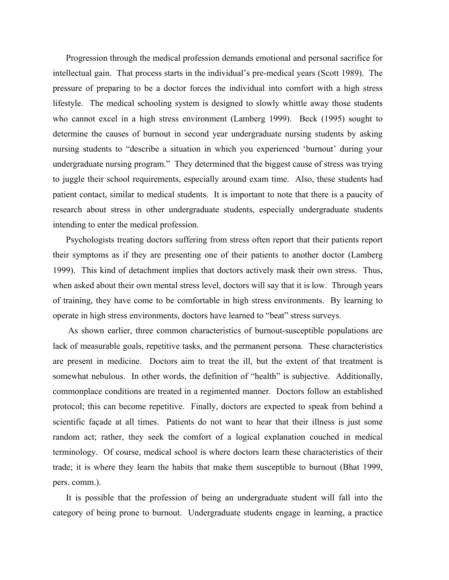Progression through the medical profession demands emotional and personal sacrifice for intellectual gain. That process starts in the individual's pre-medical years (Scott 1989). The pressure of preparing to be a doctor forces the individual into comfort with a high stress lifestyle. The medical schooling system is designed to slowly whittle away those students who cannot excel in a high stress environment (Lamberg 1999). Beck (1995) sought to determine the causes of burnout in second year undergraduate nursing students by asking nursing students to "describe a situation in which you experienced 'burnout' during your undergraduate nursing program." They determined that the biggest cause of stress was trying to juggle their school requirements, especially around exam time. Also, these students had patient contact, similar to medical students. It is important to note that there is a paucity of research about stress in other undergraduate students, especially undergraduate students intending to enter the medical profession.

Psychologists treating doctors suffering from stress often report that their patients report their symptoms as if they are presenting one of their patients to another doctor (Lamberg 1999). This kind of detachment implies that doctors actively mask their own stress. Thus, when asked about their own mental stress level, doctors will say that it is low. Through years of training, they have come to be comfortable in high stress environments. By learning to operate in high stress environments, doctors have learned to "beat" stress surveys.

 As shown earlier, three common characteristics of burnout-susceptible populations are lack of measurable goals, repetitive tasks, and the permanent persona. These characteristics are present in medicine. Doctors aim to treat the ill, but the extent of that treatment is somewhat nebulous. In other words, the definition of "health" is subjective. Additionally, commonplace conditions are treated in a regimented manner. Doctors follow an established protocol; this can become repetitive. Finally, doctors are expected to speak from behind a scientific façade at all times. Patients do not want to hear that their illness is just some random act; rather, they seek the comfort of a logical explanation couched in medical terminology. Of course, medical school is where doctors learn these characteristics of their trade; it is where they learn the habits that make them susceptible to burnout (Bhat 1999, pers. comm.).

It is possible that the profession of being an undergraduate student will fall into the category of being prone to burnout. Undergraduate students engage in learning, a practice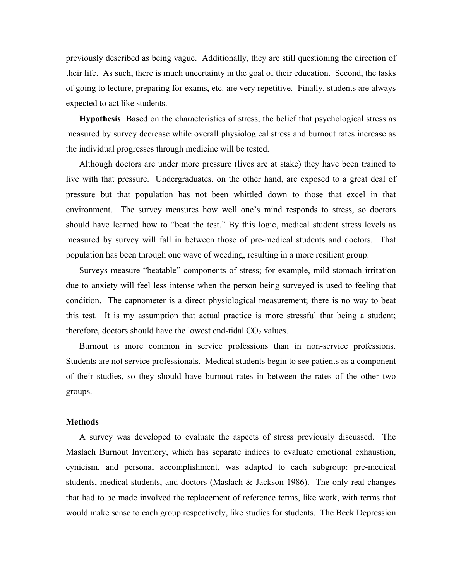previously described as being vague. Additionally, they are still questioning the direction of their life. As such, there is much uncertainty in the goal of their education. Second, the tasks of going to lecture, preparing for exams, etc. are very repetitive. Finally, students are always expected to act like students.

**Hypothesis** Based on the characteristics of stress, the belief that psychological stress as measured by survey decrease while overall physiological stress and burnout rates increase as the individual progresses through medicine will be tested.

Although doctors are under more pressure (lives are at stake) they have been trained to live with that pressure. Undergraduates, on the other hand, are exposed to a great deal of pressure but that population has not been whittled down to those that excel in that environment. The survey measures how well one's mind responds to stress, so doctors should have learned how to "beat the test." By this logic, medical student stress levels as measured by survey will fall in between those of pre-medical students and doctors. That population has been through one wave of weeding, resulting in a more resilient group.

Surveys measure "beatable" components of stress; for example, mild stomach irritation due to anxiety will feel less intense when the person being surveyed is used to feeling that condition. The capnometer is a direct physiological measurement; there is no way to beat this test. It is my assumption that actual practice is more stressful that being a student; therefore, doctors should have the lowest end-tidal  $CO<sub>2</sub>$  values.

Burnout is more common in service professions than in non-service professions. Students are not service professionals. Medical students begin to see patients as a component of their studies, so they should have burnout rates in between the rates of the other two groups.

#### **Methods**

A survey was developed to evaluate the aspects of stress previously discussed. The Maslach Burnout Inventory, which has separate indices to evaluate emotional exhaustion, cynicism, and personal accomplishment, was adapted to each subgroup: pre-medical students, medical students, and doctors (Maslach & Jackson 1986). The only real changes that had to be made involved the replacement of reference terms, like work, with terms that would make sense to each group respectively, like studies for students. The Beck Depression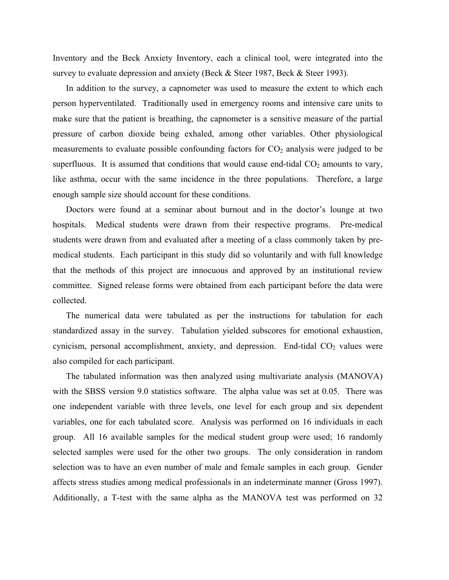Inventory and the Beck Anxiety Inventory, each a clinical tool, were integrated into the survey to evaluate depression and anxiety (Beck & Steer 1987, Beck & Steer 1993).

In addition to the survey, a capnometer was used to measure the extent to which each person hyperventilated. Traditionally used in emergency rooms and intensive care units to make sure that the patient is breathing, the capnometer is a sensitive measure of the partial pressure of carbon dioxide being exhaled, among other variables. Other physiological measurements to evaluate possible confounding factors for  $CO<sub>2</sub>$  analysis were judged to be superfluous. It is assumed that conditions that would cause end-tidal  $CO<sub>2</sub>$  amounts to vary, like asthma, occur with the same incidence in the three populations. Therefore, a large enough sample size should account for these conditions.

Doctors were found at a seminar about burnout and in the doctor's lounge at two hospitals. Medical students were drawn from their respective programs. Pre-medical students were drawn from and evaluated after a meeting of a class commonly taken by premedical students. Each participant in this study did so voluntarily and with full knowledge that the methods of this project are innocuous and approved by an institutional review committee. Signed release forms were obtained from each participant before the data were collected.

The numerical data were tabulated as per the instructions for tabulation for each standardized assay in the survey. Tabulation yielded subscores for emotional exhaustion, cynicism, personal accomplishment, anxiety, and depression. End-tidal  $CO<sub>2</sub>$  values were also compiled for each participant.

The tabulated information was then analyzed using multivariate analysis (MANOVA) with the SBSS version 9.0 statistics software. The alpha value was set at 0.05. There was one independent variable with three levels, one level for each group and six dependent variables, one for each tabulated score. Analysis was performed on 16 individuals in each group. All 16 available samples for the medical student group were used; 16 randomly selected samples were used for the other two groups. The only consideration in random selection was to have an even number of male and female samples in each group. Gender affects stress studies among medical professionals in an indeterminate manner (Gross 1997). Additionally, a T-test with the same alpha as the MANOVA test was performed on 32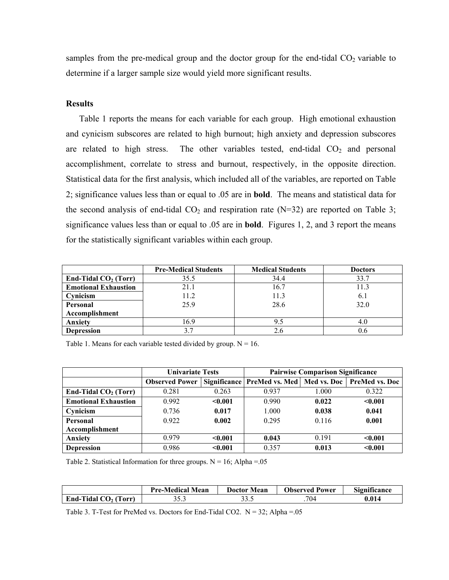samples from the pre-medical group and the doctor group for the end-tidal  $CO<sub>2</sub>$  variable to determine if a larger sample size would yield more significant results.

# **Results**

Table 1 reports the means for each variable for each group. High emotional exhaustion and cynicism subscores are related to high burnout; high anxiety and depression subscores are related to high stress. The other variables tested, end-tidal  $CO<sub>2</sub>$  and personal accomplishment, correlate to stress and burnout, respectively, in the opposite direction. Statistical data for the first analysis, which included all of the variables, are reported on Table 2; significance values less than or equal to .05 are in **bold**. The means and statistical data for the second analysis of end-tidal  $CO<sub>2</sub>$  and respiration rate (N=32) are reported on Table 3; significance values less than or equal to .05 are in **bold**. Figures 1, 2, and 3 report the means for the statistically significant variables within each group.

|                             | <b>Pre-Medical Students</b> | <b>Medical Students</b> | <b>Doctors</b> |
|-----------------------------|-----------------------------|-------------------------|----------------|
| End-Tidal $CO2$ (Torr)      | 35.5                        | 34.4                    | 33.7           |
| <b>Emotional Exhaustion</b> | 21.1                        | 16.7                    | 11.3           |
| Cynicism                    | 11.2                        | 11.3                    | 6.1            |
| Personal                    | 25.9                        | 28.6                    | 32.0           |
| Accomplishment              |                             |                         |                |
| Anxiety                     | 16.9                        | 9.5                     | 4.0            |
| <b>Depression</b>           | 3.7                         | 2.6                     | 0.6            |

Table 1. Means for each variable tested divided by group.  $N = 16$ .

|                             | <b>Univariate Tests</b> |         | <b>Pairwise Comparison Significance</b>                      |       |         |
|-----------------------------|-------------------------|---------|--------------------------------------------------------------|-------|---------|
|                             | <b>Observed Power</b>   |         | Significance   PreMed vs. Med   Med vs. Doc   PreMed vs. Doc |       |         |
| End-Tidal $CO2$ (Torr)      | 0.281                   | 0.263   | 0.937                                                        | 1.000 | 0.322   |
| <b>Emotional Exhaustion</b> | 0.992                   | $0.001$ | 0.990                                                        | 0.022 | $0.001$ |
| Cynicism                    | 0.736                   | 0.017   | 1.000                                                        | 0.038 | 0.041   |
| Personal                    | 0.922                   | 0.002   | 0.295                                                        | 0.116 | 0.001   |
| Accomplishment              |                         |         |                                                              |       |         |
| Anxiety                     | 0.979                   | $0.001$ | 0.043                                                        | 0.191 | $0.001$ |
| <b>Depression</b>           | 0.986                   | $0.001$ | 0.357                                                        | 0.013 | $0.001$ |

Table 2. Statistical Information for three groups.  $N = 16$ ; Alpha = 05

|                            | <b>Pre-Medical Mean</b> | Mean<br>Doctor - | <b>Observed Power</b> | r.<br>$\cdot$ $\sim$<br>Significance |
|----------------------------|-------------------------|------------------|-----------------------|--------------------------------------|
| End-Tidal $CO2$ (<br>Torr) | د. ر ر                  | ن. ر. ر.         | 704                   | 0.014                                |

Table 3. T-Test for PreMed vs. Doctors for End-Tidal CO2.  $N = 32$ ; Alpha = 05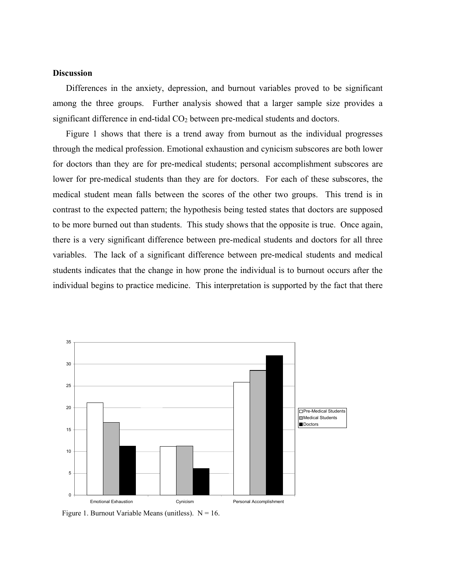# **Discussion**

Differences in the anxiety, depression, and burnout variables proved to be significant among the three groups. Further analysis showed that a larger sample size provides a significant difference in end-tidal  $CO<sub>2</sub>$  between pre-medical students and doctors.

Figure 1 shows that there is a trend away from burnout as the individual progresses through the medical profession. Emotional exhaustion and cynicism subscores are both lower for doctors than they are for pre-medical students; personal accomplishment subscores are lower for pre-medical students than they are for doctors. For each of these subscores, the medical student mean falls between the scores of the other two groups. This trend is in contrast to the expected pattern; the hypothesis being tested states that doctors are supposed to be more burned out than students. This study shows that the opposite is true. Once again, there is a very significant difference between pre-medical students and doctors for all three variables. The lack of a significant difference between pre-medical students and medical students indicates that the change in how prone the individual is to burnout occurs after the individual begins to practice medicine. This interpretation is supported by the fact that there



Figure 1. Burnout Variable Means (unitless).  $N = 16$ .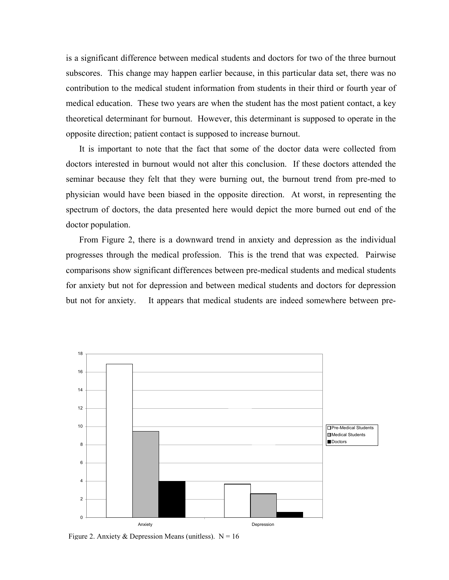is a significant difference between medical students and doctors for two of the three burnout subscores. This change may happen earlier because, in this particular data set, there was no contribution to the medical student information from students in their third or fourth year of medical education. These two years are when the student has the most patient contact, a key theoretical determinant for burnout. However, this determinant is supposed to operate in the opposite direction; patient contact is supposed to increase burnout.

It is important to note that the fact that some of the doctor data were collected from doctors interested in burnout would not alter this conclusion. If these doctors attended the seminar because they felt that they were burning out, the burnout trend from pre-med to physician would have been biased in the opposite direction. At worst, in representing the spectrum of doctors, the data presented here would depict the more burned out end of the doctor population.

From Figure 2, there is a downward trend in anxiety and depression as the individual progresses through the medical profession. This is the trend that was expected. Pairwise comparisons show significant differences between pre-medical students and medical students for anxiety but not for depression and between medical students and doctors for depression but not for anxiety. It appears that medical students are indeed somewhere between pre-



Figure 2. Anxiety & Depression Means (unitless).  $N = 16$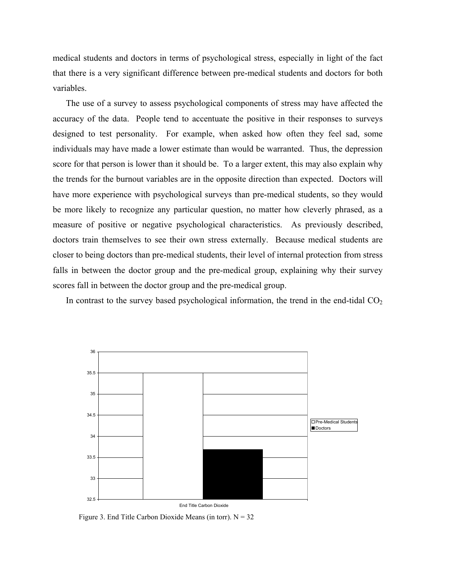medical students and doctors in terms of psychological stress, especially in light of the fact that there is a very significant difference between pre-medical students and doctors for both variables.

The use of a survey to assess psychological components of stress may have affected the accuracy of the data. People tend to accentuate the positive in their responses to surveys designed to test personality. For example, when asked how often they feel sad, some individuals may have made a lower estimate than would be warranted. Thus, the depression score for that person is lower than it should be. To a larger extent, this may also explain why the trends for the burnout variables are in the opposite direction than expected. Doctors will have more experience with psychological surveys than pre-medical students, so they would be more likely to recognize any particular question, no matter how cleverly phrased, as a measure of positive or negative psychological characteristics. As previously described, doctors train themselves to see their own stress externally. Because medical students are closer to being doctors than pre-medical students, their level of internal protection from stress falls in between the doctor group and the pre-medical group, explaining why their survey scores fall in between the doctor group and the pre-medical group.

In contrast to the survey based psychological information, the trend in the end-tidal  $CO<sub>2</sub>$ 



Figure 3. End Title Carbon Dioxide Means (in torr).  $N = 32$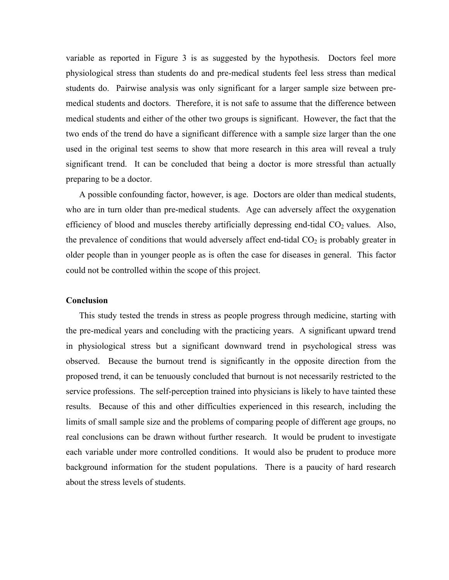variable as reported in Figure 3 is as suggested by the hypothesis. Doctors feel more physiological stress than students do and pre-medical students feel less stress than medical students do. Pairwise analysis was only significant for a larger sample size between premedical students and doctors. Therefore, it is not safe to assume that the difference between medical students and either of the other two groups is significant. However, the fact that the two ends of the trend do have a significant difference with a sample size larger than the one used in the original test seems to show that more research in this area will reveal a truly significant trend. It can be concluded that being a doctor is more stressful than actually preparing to be a doctor.

A possible confounding factor, however, is age. Doctors are older than medical students, who are in turn older than pre-medical students. Age can adversely affect the oxygenation efficiency of blood and muscles thereby artificially depressing end-tidal  $CO<sub>2</sub>$  values. Also, the prevalence of conditions that would adversely affect end-tidal  $CO<sub>2</sub>$  is probably greater in older people than in younger people as is often the case for diseases in general. This factor could not be controlled within the scope of this project.

#### **Conclusion**

This study tested the trends in stress as people progress through medicine, starting with the pre-medical years and concluding with the practicing years. A significant upward trend in physiological stress but a significant downward trend in psychological stress was observed. Because the burnout trend is significantly in the opposite direction from the proposed trend, it can be tenuously concluded that burnout is not necessarily restricted to the service professions. The self-perception trained into physicians is likely to have tainted these results. Because of this and other difficulties experienced in this research, including the limits of small sample size and the problems of comparing people of different age groups, no real conclusions can be drawn without further research. It would be prudent to investigate each variable under more controlled conditions. It would also be prudent to produce more background information for the student populations. There is a paucity of hard research about the stress levels of students.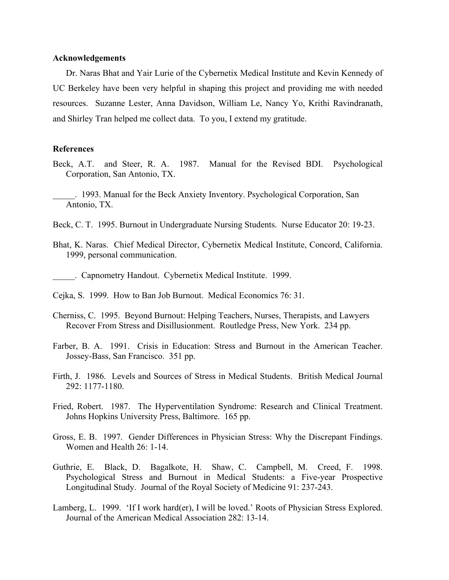#### **Acknowledgements**

Dr. Naras Bhat and Yair Lurie of the Cybernetix Medical Institute and Kevin Kennedy of UC Berkeley have been very helpful in shaping this project and providing me with needed resources. Suzanne Lester, Anna Davidson, William Le, Nancy Yo, Krithi Ravindranath, and Shirley Tran helped me collect data. To you, I extend my gratitude.

### **References**

- Beck, A.T. and Steer, R. A. 1987. Manual for the Revised BDI. Psychological Corporation, San Antonio, TX.
- \_\_\_\_\_. 1993. Manual for the Beck Anxiety Inventory. Psychological Corporation, San Antonio, TX.
- Beck, C. T. 1995. Burnout in Undergraduate Nursing Students. Nurse Educator 20: 19-23.
- Bhat, K. Naras. Chief Medical Director, Cybernetix Medical Institute, Concord, California. 1999, personal communication.
	- \_\_\_\_\_. Capnometry Handout. Cybernetix Medical Institute. 1999.
- Cejka, S. 1999. How to Ban Job Burnout. Medical Economics 76: 31.
- Cherniss, C. 1995. Beyond Burnout: Helping Teachers, Nurses, Therapists, and Lawyers Recover From Stress and Disillusionment. Routledge Press, New York. 234 pp.
- Farber, B. A. 1991. Crisis in Education: Stress and Burnout in the American Teacher. Jossey-Bass, San Francisco. 351 pp.
- Firth, J. 1986. Levels and Sources of Stress in Medical Students. British Medical Journal 292: 1177-1180.
- Fried, Robert. 1987. The Hyperventilation Syndrome: Research and Clinical Treatment. Johns Hopkins University Press, Baltimore. 165 pp.
- Gross, E. B. 1997. Gender Differences in Physician Stress: Why the Discrepant Findings. Women and Health 26: 1-14.
- Guthrie, E. Black, D. Bagalkote, H. Shaw, C. Campbell, M. Creed, F. 1998. Psychological Stress and Burnout in Medical Students: a Five-year Prospective Longitudinal Study. Journal of the Royal Society of Medicine 91: 237-243.
- Lamberg, L. 1999. 'If I work hard(er), I will be loved.' Roots of Physician Stress Explored. Journal of the American Medical Association 282: 13-14.